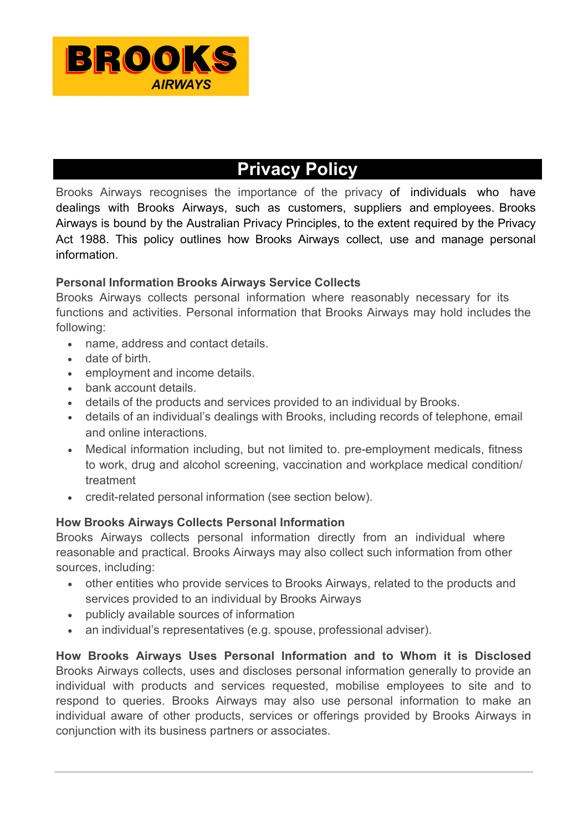

# **Privacy Policy**

Brooks Airways recognises the importance of the privacy of individuals who have dealings with Brooks Airways, such as customers, suppliers and employees. Brooks Airways is bound by the Australian Privacy Principles, to the extent required by the Privacy Act 1988. This policy outlines how Brooks Airways collect, use and manage personal information.

### **Personal Information Brooks Airways Service Collects**

Brooks Airways collects personal information where reasonably necessary for its functions and activities. Personal information that Brooks Airways may hold includes the following:

- name, address and contact details.
- date of birth.
- employment and income details.
- bank account details.
- details of the products and services provided to an individual by Brooks.
- details of an individual's dealings with Brooks, including records of telephone, email and online interactions.
- Medical information including, but not limited to. pre-employment medicals, fitness to work, drug and alcohol screening, vaccination and workplace medical condition/ treatment
- credit-related personal information (see section below).

## **How Brooks Airways Collects Personal Information**

Brooks Airways collects personal information directly from an individual where reasonable and practical. Brooks Airways may also collect such information from other sources, including:

- other entities who provide services to Brooks Airways, related to the products and services provided to an individual by Brooks Airways
- publicly available sources of information
- an individual's representatives (e.g. spouse, professional adviser).

**How Brooks Airways Uses Personal Information and to Whom it is Disclosed**  Brooks Airways collects, uses and discloses personal information generally to provide an individual with products and services requested, mobilise employees to site and to respond to queries. Brooks Airways may also use personal information to make an individual aware of other products, services or offerings provided by Brooks Airways in conjunction with its business partners or associates.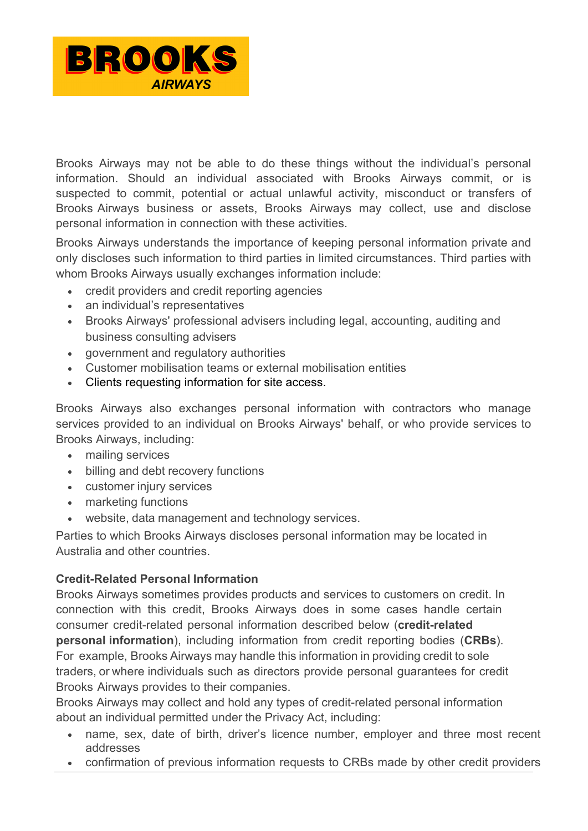

Brooks Airways may not be able to do these things without the individual's personal information. Should an individual associated with Brooks Airways commit, or is suspected to commit, potential or actual unlawful activity, misconduct or transfers of Brooks Airways business or assets, Brooks Airways may collect, use and disclose personal information in connection with these activities.

Brooks Airways understands the importance of keeping personal information private and only discloses such information to third parties in limited circumstances. Third parties with whom Brooks Airways usually exchanges information include:

- credit providers and credit reporting agencies
- an individual's representatives
- Brooks Airways' professional advisers including legal, accounting, auditing and business consulting advisers
- government and regulatory authorities
- Customer mobilisation teams or external mobilisation entities
- Clients requesting information for site access.

Brooks Airways also exchanges personal information with contractors who manage services provided to an individual on Brooks Airways' behalf, or who provide services to Brooks Airways, including:

- mailing services
- billing and debt recovery functions
- customer injury services
- marketing functions
- website, data management and technology services.

Parties to which Brooks Airways discloses personal information may be located in Australia and other countries.

## **Credit-Related Personal Information**

Brooks Airways sometimes provides products and services to customers on credit. In connection with this credit, Brooks Airways does in some cases handle certain consumer credit-related personal information described below (**credit-related personal information**), including information from credit reporting bodies (**CRBs**). For example, Brooks Airways may handle this information in providing credit to sole traders, or where individuals such as directors provide personal guarantees for credit Brooks Airways provides to their companies.

Brooks Airways may collect and hold any types of credit-related personal information about an individual permitted under the Privacy Act, including:

- name, sex, date of birth, driver's licence number, employer and three most recent addresses
- confirmation of previous information requests to CRBs made by other credit providers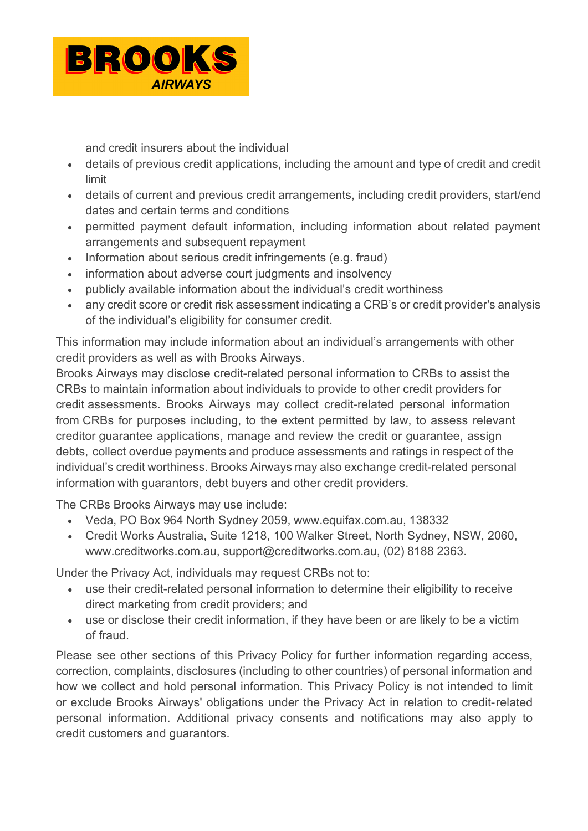

and credit insurers about the individual

- details of previous credit applications, including the amount and type of credit and credit limit
- details of current and previous credit arrangements, including credit providers, start/end dates and certain terms and conditions
- permitted payment default information, including information about related payment arrangements and subsequent repayment
- Information about serious credit infringements (e.g. fraud)
- information about adverse court judgments and insolvency
- publicly available information about the individual's credit worthiness
- any credit score or credit risk assessment indicating a CRB's or credit provider's analysis of the individual's eligibility for consumer credit.

This information may include information about an individual's arrangements with other credit providers as well as with Brooks Airways.

Brooks Airways may disclose credit-related personal information to CRBs to assist the CRBs to maintain information about individuals to provide to other credit providers for credit assessments. Brooks Airways may collect credit-related personal information from CRBs for purposes including, to the extent permitted by law, to assess relevant creditor guarantee applications, manage and review the credit or guarantee, assign debts, collect overdue payments and produce assessments and ratings in respect of the individual's credit worthiness. Brooks Airways may also exchange credit-related personal information with guarantors, debt buyers and other credit providers.

The CRBs Brooks Airways may use include:

- Veda, PO Box 964 North Sydney 2059, [www.equifax.com.au,](http://www.equifax.com.au/) 138332
- Credit Works Australia, Suite 1218, 100 Walker Street, North Sydney, NSW, 2060, [www.creditworks.com.au,](http://www.creditworks.com.au/) [support@creditworks.com.au,](mailto:support@creditworks.com.au) (02) 8188 2363.

Under the Privacy Act, individuals may request CRBs not to:

- use their credit-related personal information to determine their eligibility to receive direct marketing from credit providers; and
- use or disclose their credit information, if they have been or are likely to be a victim of fraud.

Please see other sections of this Privacy Policy for further information regarding access, correction, complaints, disclosures (including to other countries) of personal information and how we collect and hold personal information. This Privacy Policy is not intended to limit or exclude Brooks Airways' obligations under the Privacy Act in relation to credit- related personal information. Additional privacy consents and notifications may also apply to credit customers and guarantors.